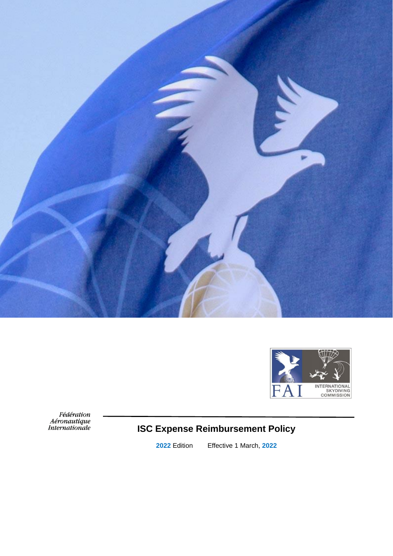



Fédération<br>Aéronautique<br>Internationale

# **ISC Expense Reimbursement Policy**

**2022** Edition Effective 1 March, **2022**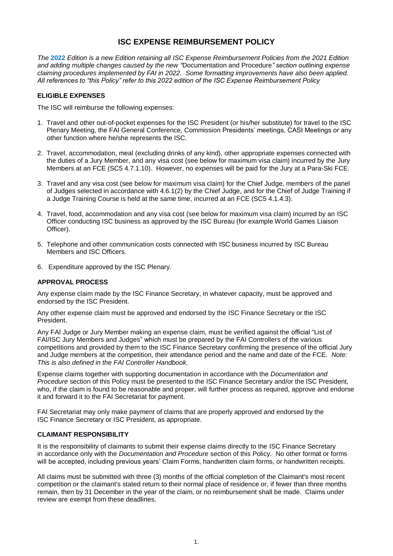# **ISC EXPENSE REIMBURSEMENT POLICY**

*The* **2022** *Edition is a new Edition retaining all ISC Expense Reimbursement Policies from the 2021 Edition and adding multiple changes caused by the new "*Documentation and Procedure*" section outlining expense claiming procedures implemented by FAI in 2022. Some formatting improvements have also been applied. All references to "this Policy" refer to this 2022 edition of the ISC Expense Reimbursement Policy*

#### **ELIGIBLE EXPENSES**

The ISC will reimburse the following expenses:

- 1. Travel and other out-of-pocket expenses for the ISC President (or his/her substitute) for travel to the ISC Plenary Meeting, the FAI General Conference, Commission Presidents' meetings, CASI Meetings or any other function where he/she represents the ISC.
- 2. Travel, accommodation, meal (excluding drinks of any kind), other appropriate expenses connected with the duties of a Jury Member, and any visa cost (see below for maximum visa claim) incurred by the Jury Members at an FCE (SC5 4.7.1.10).. However, no expenses will be paid for the Jury at a Para-Ski FCE.
- 3. Travel and any visa cost (see below for maximum visa claim) for the Chief Judge, members of the panel of Judges selected in accordance with 4.6.1(2) by the Chief Judge, and for the Chief of Judge Training if a Judge Training Course is held at the same time, incurred at an FCE (SC5 4.1.4.3).
- 4. Travel, food, accommodation and any visa cost (see below for maximum visa claim) incurred by an ISC Officer conducting ISC business as approved by the ISC Bureau (for example World Games Liaison Officer).
- 5. Telephone and other communication costs connected with ISC business incurred by ISC Bureau Members and ISC Officers.
- 6. Expenditure approved by the ISC Plenary.

#### **APPROVAL PROCESS**

Any expense claim made by the ISC Finance Secretary, in whatever capacity, must be approved and endorsed by the ISC President.

Any other expense claim must be approved and endorsed by the ISC Finance Secretary or the ISC President.

Any FAI Judge or Jury Member making an expense claim, must be verified against the official "List of FAI/ISC Jury Members and Judges" which must be prepared by the FAI Controllers of the various competitions and provided by them to the ISC Finance Secretary confirming the presence of the official Jury and Judge members at the competition, their attendance period and the name and date of the FCE. *Note: This is also defined in the FAI Controller Handbook.*

Expense claims together with supporting documentation in accordance with the *Documentation and Procedure* section of this Policy must be presented to the ISC Finance Secretary and/or the ISC President, who, if the claim is found to be reasonable and proper, will further process as required, approve and endorse it and forward it to the FAI Secretariat for payment.

FAI Secretariat may only make payment of claims that are properly approved and endorsed by the ISC Finance Secretary or ISC President, as appropriate.

#### **CLAIMANT RESPONSIBILITY**

It is the responsibility of claimants to submit their expense claims directly to the ISC Finance Secretary in accordance only with the *Documentation and Procedure* section of this Policy. No other format or forms will be accepted, including previous years' Claim Forms, handwritten claim forms, or handwritten receipts.

All claims must be submitted with three (3) months of the official completion of the Claimant's most recent competition or the claimant's stated return to their normal place of residence or, if fewer than three months remain, then by 31 December in the year of the claim, or no reimbursement shall be made. Claims under review are exempt from these deadlines.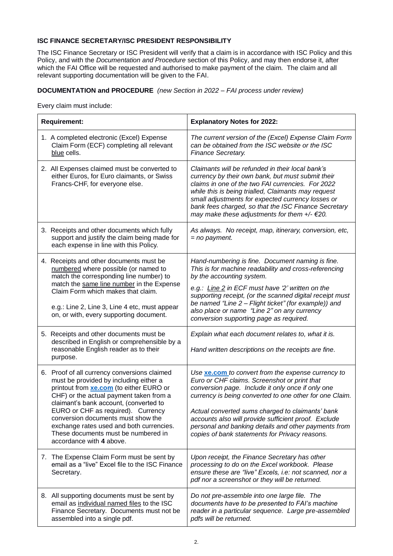# **ISC FINANCE SECRETARY/ISC PRESIDENT RESPONSIBILITY**

The ISC Finance Secretary or ISC President will verify that a claim is in accordance with ISC Policy and this Policy, and with the *Documentation and Procedure* section of this Policy, and may then endorse it, after which the FAI Office will be requested and authorised to make payment of the claim. The claim and all relevant supporting documentation will be given to the FAI.

# **DOCUMENTATION and PROCEDURE** *(new Section in 2022 – FAI process under review)*

Every claim must include:

| <b>Requirement:</b> |                                                                                                                                                                                                                                                                                                                                                                                                                   | <b>Explanatory Notes for 2022:</b>                                                                                                                                                                                                                                                                                                                                                                                                              |
|---------------------|-------------------------------------------------------------------------------------------------------------------------------------------------------------------------------------------------------------------------------------------------------------------------------------------------------------------------------------------------------------------------------------------------------------------|-------------------------------------------------------------------------------------------------------------------------------------------------------------------------------------------------------------------------------------------------------------------------------------------------------------------------------------------------------------------------------------------------------------------------------------------------|
|                     | 1. A completed electronic (Excel) Expense<br>Claim Form (ECF) completing all relevant<br>blue cells.                                                                                                                                                                                                                                                                                                              | The current version of the (Excel) Expense Claim Form<br>can be obtained from the ISC website or the ISC<br>Finance Secretary.                                                                                                                                                                                                                                                                                                                  |
|                     | 2. All Expenses claimed must be converted to<br>either Euros, for Euro claimants, or Swiss<br>Francs-CHF, for everyone else.                                                                                                                                                                                                                                                                                      | Claimants will be refunded in their local bank's<br>currency by their own bank, but must submit their<br>claims in one of the two FAI currencies. For 2022<br>while this is being trialled, Claimants may request<br>small adjustments for expected currency losses or<br>bank fees charged, so that the ISC Finance Secretary<br>may make these adjustments for them $+/- \epsilon$ 20.                                                        |
|                     | 3. Receipts and other documents which fully<br>support and justify the claim being made for<br>each expense in line with this Policy.                                                                                                                                                                                                                                                                             | As always. No receipt, map, itinerary, conversion, etc,<br>$=$ no payment.                                                                                                                                                                                                                                                                                                                                                                      |
|                     | 4. Receipts and other documents must be<br>numbered where possible (or named to<br>match the corresponding line number) to<br>match the same line number in the Expense<br>Claim Form which makes that claim.<br>e.g.: Line 2, Line 3, Line 4 etc, must appear<br>on, or with, every supporting document.                                                                                                         | Hand-numbering is fine. Document naming is fine.<br>This is for machine readability and cross-referencing<br>by the accounting system.<br>e.g.: Line 2 in ECF must have '2' written on the<br>supporting receipt, (or the scanned digital receipt must<br>be named "Line 2 - Flight ticket" (for example)) and<br>also place or name "Line 2" on any currency<br>conversion supporting page as required.                                        |
|                     | 5. Receipts and other documents must be<br>described in English or comprehensible by a<br>reasonable English reader as to their<br>purpose.                                                                                                                                                                                                                                                                       | Explain what each document relates to, what it is.<br>Hand written descriptions on the receipts are fine.                                                                                                                                                                                                                                                                                                                                       |
|                     | 6. Proof of all currency conversions claimed<br>must be provided by including either a<br>printout from xe.com (to either EURO or<br>CHF) or the actual payment taken from a<br>claimant's bank account, (converted to<br>EURO or CHF as required). Currency<br>conversion documents must show the<br>exchange rates used and both currencies.<br>These documents must be numbered in<br>accordance with 4 above. | Use <b>xe.com</b> to convert from the expense currency to<br>Euro or CHF claims. Screenshot or print that<br>conversion page. Include it only once if only one<br>currency is being converted to one other for one Claim.<br>Actual converted sums charged to claimants' bank<br>accounts also will provide sufficient proof. Exclude<br>personal and banking details and other payments from<br>copies of bank statements for Privacy reasons. |
|                     | 7. The Expense Claim Form must be sent by<br>email as a "live" Excel file to the ISC Finance<br>Secretary.                                                                                                                                                                                                                                                                                                        | Upon receipt, the Finance Secretary has other<br>processing to do on the Excel workbook. Please<br>ensure these are "live" Excels, i.e: not scanned, nor a<br>pdf nor a screenshot or they will be returned.                                                                                                                                                                                                                                    |
|                     | 8. All supporting documents must be sent by<br>email as individual named files to the ISC<br>Finance Secretary. Documents must not be<br>assembled into a single pdf.                                                                                                                                                                                                                                             | Do not pre-assemble into one large file. The<br>documents have to be presented to FAI's machine<br>reader in a particular sequence. Large pre-assembled<br>pdfs will be returned.                                                                                                                                                                                                                                                               |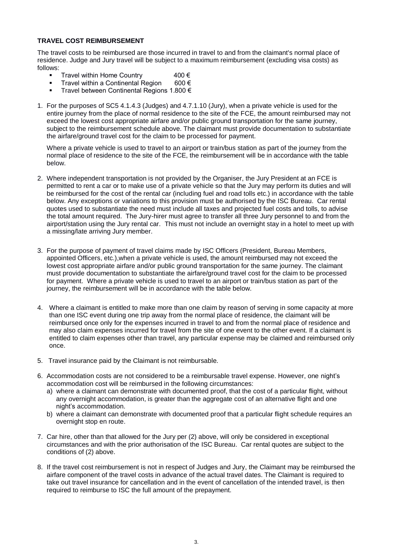#### **TRAVEL COST REIMBURSEMENT**

The travel costs to be reimbursed are those incurred in travel to and from the claimant's normal place of residence. Judge and Jury travel will be subject to a maximum reimbursement (excluding visa costs) as follows:

- Travel within Home Country  $400 \in$
- Travel within a Continental Region 600  $\in$ <br>Travel between Continental Regions 1 800  $\in$
- Travel between Continental Regions 1.800 €
- 1. For the purposes of SC5 4.1.4.3 (Judges) and 4.7.1.10 (Jury), when a private vehicle is used for the entire journey from the place of normal residence to the site of the FCE, the amount reimbursed may not exceed the lowest cost appropriate airfare and/or public ground transportation for the same journey, subject to the reimbursement schedule above. The claimant must provide documentation to substantiate the airfare/ground travel cost for the claim to be processed for payment.

Where a private vehicle is used to travel to an airport or train/bus station as part of the journey from the normal place of residence to the site of the FCE, the reimbursement will be in accordance with the table below.

- 2. Where independent transportation is not provided by the Organiser, the Jury President at an FCE is permitted to rent a car or to make use of a private vehicle so that the Jury may perform its duties and will be reimbursed for the cost of the rental car (including fuel and road tolls etc.) in accordance with the table below. Any exceptions or variations to this provision must be authorised by the ISC Bureau. Car rental quotes used to substantiate the need must include all taxes and projected fuel costs and tolls, to advise the total amount required. The Jury-hirer must agree to transfer all three Jury personnel to and from the airport/station using the Jury rental car. This must not include an overnight stay in a hotel to meet up with a missing/late arriving Jury member.
- 3. For the purpose of payment of travel claims made by ISC Officers (President, Bureau Members, appointed Officers, etc.),when a private vehicle is used, the amount reimbursed may not exceed the lowest cost appropriate airfare and/or public ground transportation for the same journey. The claimant must provide documentation to substantiate the airfare/ground travel cost for the claim to be processed for payment. Where a private vehicle is used to travel to an airport or train/bus station as part of the journey, the reimbursement will be in accordance with the table below.
- 4. Where a claimant is entitled to make more than one claim by reason of serving in some capacity at more than one ISC event during one trip away from the normal place of residence, the claimant will be reimbursed once only for the expenses incurred in travel to and from the normal place of residence and may also claim expenses incurred for travel from the site of one event to the other event. If a claimant is entitled to claim expenses other than travel, any particular expense may be claimed and reimbursed only once.
- 5. Travel insurance paid by the Claimant is not reimbursable.
- 6. Accommodation costs are not considered to be a reimbursable travel expense. However, one night's accommodation cost will be reimbursed in the following circumstances:
	- a) where a claimant can demonstrate with documented proof, that the cost of a particular flight, without any overnight accommodation, is greater than the aggregate cost of an alternative flight and one night's accommodation.
	- b) where a claimant can demonstrate with documented proof that a particular flight schedule requires an overnight stop en route.
- 7. Car hire, other than that allowed for the Jury per (2) above, will only be considered in exceptional circumstances and with the prior authorisation of the ISC Bureau. Car rental quotes are subject to the conditions of (2) above.
- 8. If the travel cost reimbursement is not in respect of Judges and Jury, the Claimant may be reimbursed the airfare component of the travel costs in advance of the actual travel dates. The Claimant is required to take out travel insurance for cancellation and in the event of cancellation of the intended travel, is then required to reimburse to ISC the full amount of the prepayment.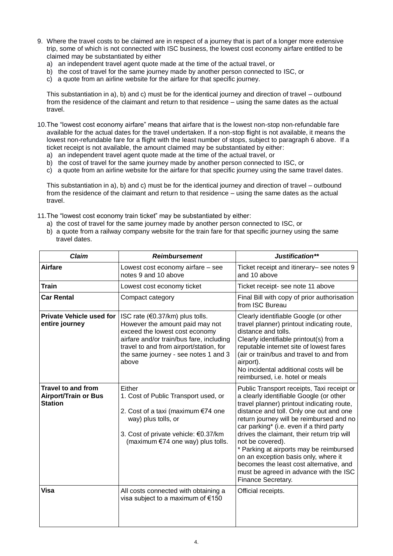- 9. Where the travel costs to be claimed are in respect of a journey that is part of a longer more extensive trip, some of which is not connected with ISC business, the lowest cost economy airfare entitled to be claimed may be substantiated by either
	- a) an independent travel agent quote made at the time of the actual travel, or
	- b) the cost of travel for the same journey made by another person connected to ISC, or
	- c) a quote from an airline website for the airfare for that specific journey.

This substantiation in a), b) and c) must be for the identical journey and direction of travel – outbound from the residence of the claimant and return to that residence – using the same dates as the actual travel.

10.The "lowest cost economy airfare" means that airfare that is the lowest non-stop non-refundable fare available for the actual dates for the travel undertaken. If a non-stop flight is not available, it means the lowest non-refundable fare for a flight with the least number of stops, subject to paragraph 6 above. If a ticket receipt is not available, the amount claimed may be substantiated by either:

- a) an independent travel agent quote made at the time of the actual travel, or
- b) the cost of travel for the same journey made by another person connected to ISC, or
- c) a quote from an airline website for the airfare for that specific journey using the same travel dates.

This substantiation in a), b) and c) must be for the identical journey and direction of travel – outbound from the residence of the claimant and return to that residence – using the same dates as the actual travel.

- 11.The "lowest cost economy train ticket" may be substantiated by either:
	- a) the cost of travel for the same journey made by another person connected to ISC, or
	- b) a quote from a railway company website for the train fare for that specific journey using the same travel dates.

| <b>Claim</b>                                                               | <b>Reimbursement</b>                                                                                                                                                                                                                           | Justification**                                                                                                                                                                                                                                                                                                                                                                                                                                                                                                                         |
|----------------------------------------------------------------------------|------------------------------------------------------------------------------------------------------------------------------------------------------------------------------------------------------------------------------------------------|-----------------------------------------------------------------------------------------------------------------------------------------------------------------------------------------------------------------------------------------------------------------------------------------------------------------------------------------------------------------------------------------------------------------------------------------------------------------------------------------------------------------------------------------|
| <b>Airfare</b>                                                             | Lowest cost economy airfare - see<br>notes 9 and 10 above                                                                                                                                                                                      | Ticket receipt and itinerary- see notes 9<br>and 10 above                                                                                                                                                                                                                                                                                                                                                                                                                                                                               |
| <b>Train</b>                                                               | Lowest cost economy ticket                                                                                                                                                                                                                     | Ticket receipt- see note 11 above                                                                                                                                                                                                                                                                                                                                                                                                                                                                                                       |
| <b>Car Rental</b>                                                          | Compact category                                                                                                                                                                                                                               | Final Bill with copy of prior authorisation<br>from ISC Bureau                                                                                                                                                                                                                                                                                                                                                                                                                                                                          |
| <b>Private Vehicle used for</b><br>entire journey                          | ISC rate $(60.37/km)$ plus tolls.<br>However the amount paid may not<br>exceed the lowest cost economy<br>airfare and/or train/bus fare, including<br>travel to and from airport/station, for<br>the same journey - see notes 1 and 3<br>above | Clearly identifiable Google (or other<br>travel planner) printout indicating route,<br>distance and tolls.<br>Clearly identifiable printout(s) from a<br>reputable internet site of lowest fares<br>(air or train/bus and travel to and from<br>airport).<br>No incidental additional costs will be<br>reimbursed, i.e. hotel or meals                                                                                                                                                                                                  |
| <b>Travel to and from</b><br><b>Airport/Train or Bus</b><br><b>Station</b> | Either<br>1. Cost of Public Transport used, or<br>2. Cost of a taxi (maximum €74 one<br>way) plus tolls, or<br>3. Cost of private vehicle: €0.37/km<br>(maximum €74 one way) plus tolls.                                                       | Public Transport receipts, Taxi receipt or<br>a clearly identifiable Google (or other<br>travel planner) printout indicating route,<br>distance and toll. Only one out and one<br>return journey will be reimbursed and no<br>car parking* (i.e. even if a third party<br>drives the claimant, their return trip will<br>not be covered).<br>* Parking at airports may be reimbursed<br>on an exception basis only, where it<br>becomes the least cost alternative, and<br>must be agreed in advance with the ISC<br>Finance Secretary. |
| Visa                                                                       | All costs connected with obtaining a<br>visa subject to a maximum of €150                                                                                                                                                                      | Official receipts.                                                                                                                                                                                                                                                                                                                                                                                                                                                                                                                      |